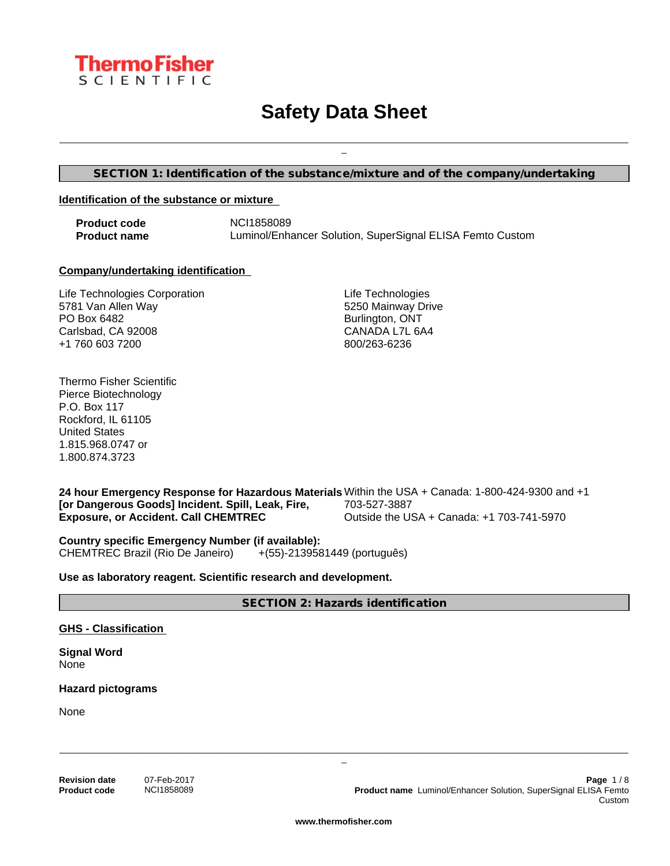

# **Safety Data Sheet**

**SECTION 1: Identification of the substance/mixture and of the company/undertaking**

#### **Identification of the substance or mixture**

**Product code** NCI1858089 **Product name** Luminol/Enhancer Solution, SuperSignal ELISA Femto Custom

#### **Company/undertaking identification**

Life Technologies Corporation 5781 Van Allen Way PO Box 6482 Carlsbad, CA 92008 +1 760 603 7200

Life Technologies 5250 Mainway Drive Burlington, ONT CANADA L7L 6A4 800/263-6236

\_\_\_\_\_\_\_\_\_\_\_\_\_\_\_\_\_\_\_\_\_\_\_\_\_\_\_\_\_\_\_\_\_\_\_\_\_\_\_\_\_\_\_\_\_\_\_\_\_\_\_\_\_\_\_\_\_\_\_\_\_\_\_\_\_\_\_\_\_\_\_\_\_\_\_\_\_\_\_\_\_\_\_\_\_\_\_\_\_\_\_\_\_\_\_\_\_\_\_\_\_\_\_\_\_\_\_\_\_\_\_\_\_\_\_\_\_ \_

Thermo Fisher Scientific Pierce Biotechnology P.O. Box 117 Rockford, IL 61105 United States 1.815.968.0747 or 1.800.874.3723

**24 hour Emergency Response for Hazardous Materials** Within the USA + Canada: 1-800-424-9300 and +1 **[or Dangerous Goods] Incident. Spill, Leak, Fire, Exposure, or Accident. Call CHEMTREC** 703-527-3887 Outside the USA + Canada: +1 703-741-5970

**Country specific Emergency Number (if available):** CHEMTREC Brazil (Rio De Janeiro) +(55)-2139581449 (português)

**Use as laboratory reagent. Scientific research and development.**

**SECTION 2: Hazards identification**

**GHS - Classification**

**Signal Word** None

**Hazard pictograms**

None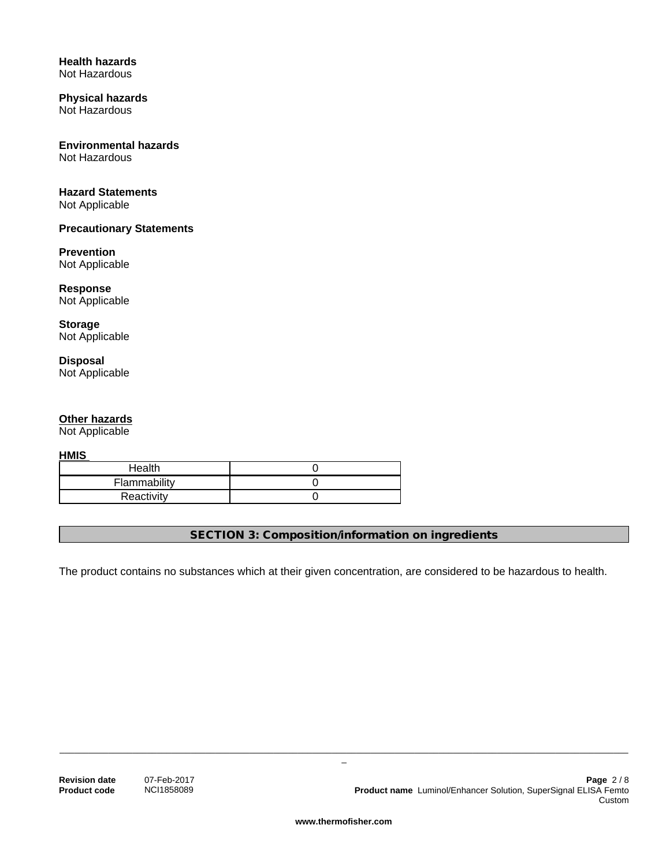#### **Health hazards** Not Hazardous

#### **Physical hazards** Not Hazardous

## **Environmental hazards**

Not Hazardous

## **Hazard Statements**

Not Applicable

## **Precautionary Statements**

## **Prevention**

Not Applicable

#### **Response** Not Applicable

**Storage** Not Applicable

## **Disposal** Not Applicable

## **Other hazards**

Not Applicable

**HMIS** 

| Health       |  |
|--------------|--|
| Flammability |  |
| Reactivity   |  |

**SECTION 3: Composition/information on ingredients**

The product contains no substances which at their given concentration, are considered to be hazardous to health.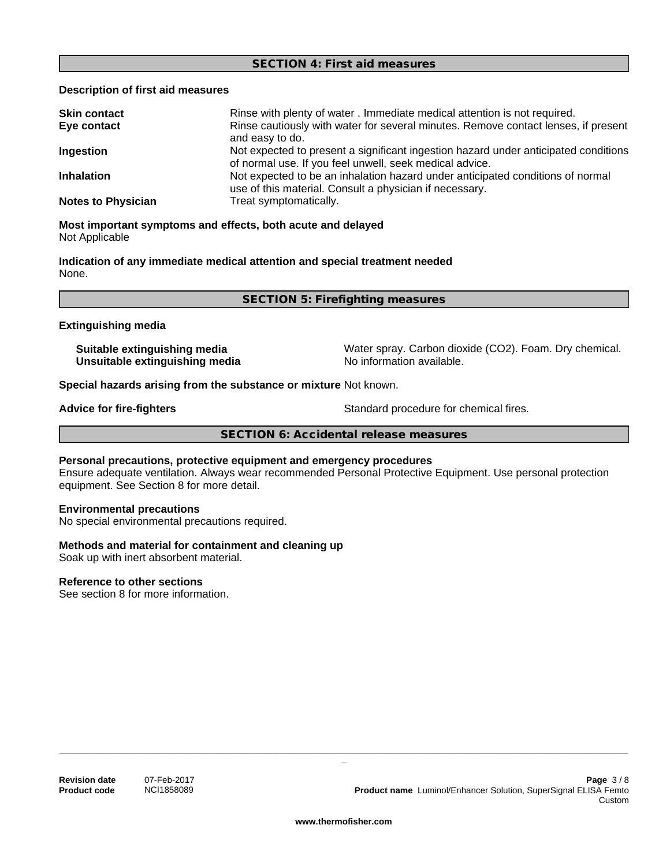#### **SECTION 4: First aid measures**

#### **Description of first aid measures**

| <b>Skin contact</b>       | Rinse with plenty of water . Immediate medical attention is not required.                                                                      |
|---------------------------|------------------------------------------------------------------------------------------------------------------------------------------------|
| Eye contact               | Rinse cautiously with water for several minutes. Remove contact lenses, if present<br>and easy to do.                                          |
| Ingestion                 | Not expected to present a significant ingestion hazard under anticipated conditions<br>of normal use. If you feel unwell, seek medical advice. |
| <b>Inhalation</b>         | Not expected to be an inhalation hazard under anticipated conditions of normal<br>use of this material. Consult a physician if necessary.      |
| <b>Notes to Physician</b> | Treat symptomatically.                                                                                                                         |

#### **Most important symptoms and effects, both acute and delayed** Not Applicable

**Indication of any immediate medical attention and special treatment needed** None.

**SECTION 5: Firefighting measures**

#### **Extinguishing media**

**Unsuitable extinguishing media** No information available.

**Suitable extinguishing media** Water spray. Carbon dioxide (CO2). Foam. Dry chemical.

**Special hazards arising from the substance or mixture** Not known.

**Advice for fire-fighters**  $\qquad \qquad$  Standard procedure for chemical fires.

**SECTION 6: Accidental release measures**

### **Personal precautions, protective equipment and emergency procedures**

Ensure adequate ventilation. Always wear recommended Personal Protective Equipment.Use personal protection equipment. See Section 8 for more detail.

#### **Environmental precautions**

No special environmental precautions required.

#### **Methods and material for containment and cleaning up**

Soak up with inert absorbent material.

#### **Reference to other sections**

See section 8 for more information.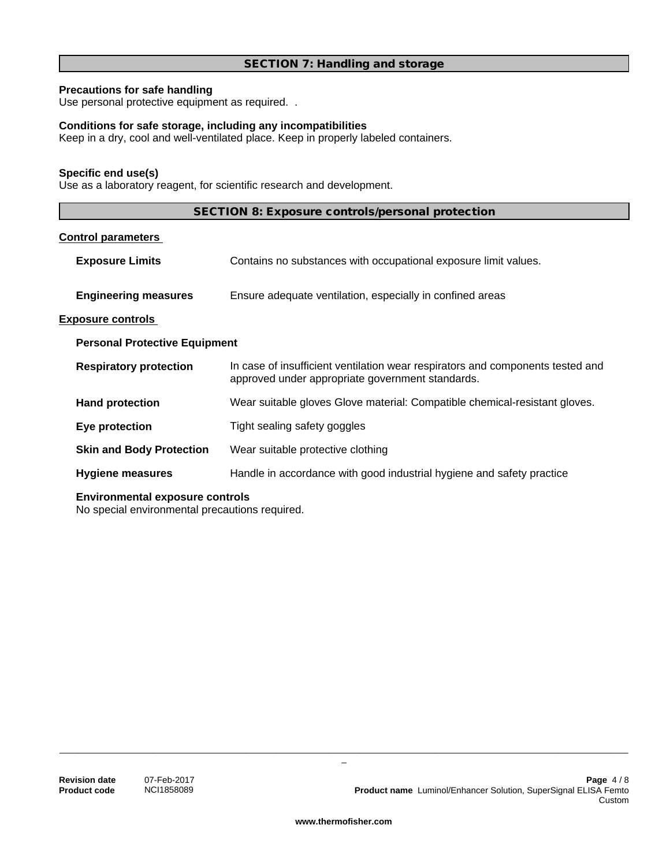## **SECTION 7: Handling and storage**

## **Precautions for safe handling**

Use personal protective equipment as required. .

## **Conditions for safe storage, including any incompatibilities**

Keep in a dry, cool and well-ventilated place. Keep in properly labeled containers.

#### **Specific end use(s)**

Use as a laboratory reagent, for scientific research and development.

| SECTION 8: Exposure controls/personal protection |  |
|--------------------------------------------------|--|
|--------------------------------------------------|--|

## **Control parameters**

|                                      | <b>Exposure Limits</b>          | Contains no substances with occupational exposure limit values.                                                                    |
|--------------------------------------|---------------------------------|------------------------------------------------------------------------------------------------------------------------------------|
|                                      | <b>Engineering measures</b>     | Ensure adequate ventilation, especially in confined areas                                                                          |
|                                      | <b>Exposure controls</b>        |                                                                                                                                    |
| <b>Personal Protective Equipment</b> |                                 |                                                                                                                                    |
|                                      | <b>Respiratory protection</b>   | In case of insufficient ventilation wear respirators and components tested and<br>approved under appropriate government standards. |
|                                      | <b>Hand protection</b>          | Wear suitable gloves Glove material: Compatible chemical-resistant gloves.                                                         |
|                                      | Eye protection                  | Tight sealing safety goggles                                                                                                       |
|                                      | <b>Skin and Body Protection</b> | Wear suitable protective clothing                                                                                                  |
|                                      | <b>Hygiene measures</b>         | Handle in accordance with good industrial hygiene and safety practice                                                              |
|                                      |                                 |                                                                                                                                    |

#### **Environmental exposure controls**

No special environmental precautions required.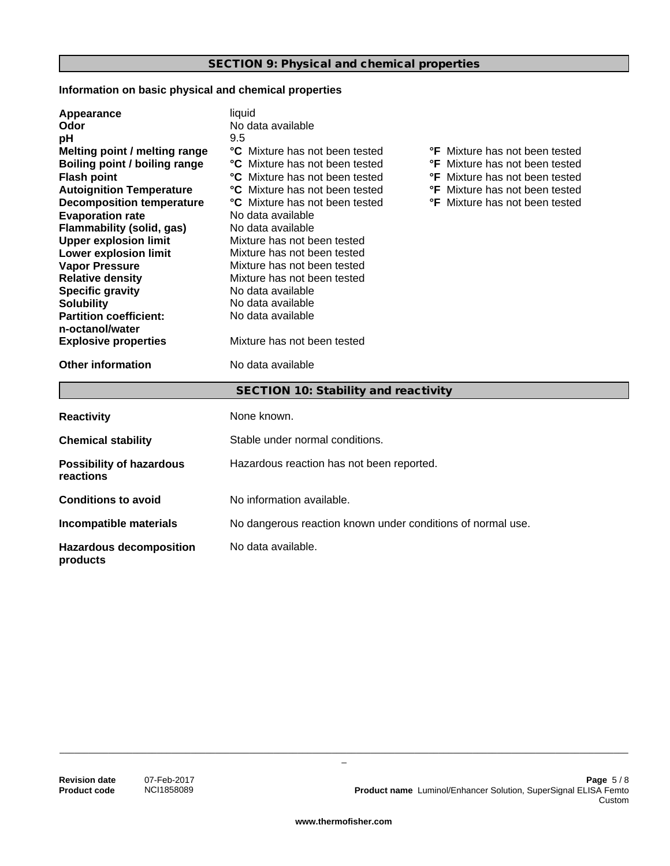## **Information on basic physical and chemical properties**

| Appearance<br>Odor<br>рH<br>Melting point / melting range<br>Boiling point / boiling range<br><b>Flash point</b><br><b>Autoignition Temperature</b><br><b>Decomposition temperature</b><br><b>Evaporation rate</b><br><b>Flammability (solid, gas)</b> | liauid<br>No data available<br>9.5<br>°C Mixture has not been tested<br><b>°F</b> Mixture has not been tested<br><b>°C</b> Mixture has not been tested<br><b>°F</b> Mixture has not been tested<br><b>C</b> Mixture has not been tested<br><b>°F</b> Mixture has not been tested<br><b>°C</b> Mixture has not been tested<br><b>°F</b> Mixture has not been tested<br><b>C</b> Mixture has not been tested<br><b>°F</b> Mixture has not been tested<br>No data available<br>No data available |  |  |
|--------------------------------------------------------------------------------------------------------------------------------------------------------------------------------------------------------------------------------------------------------|-----------------------------------------------------------------------------------------------------------------------------------------------------------------------------------------------------------------------------------------------------------------------------------------------------------------------------------------------------------------------------------------------------------------------------------------------------------------------------------------------|--|--|
| <b>Upper explosion limit</b>                                                                                                                                                                                                                           | Mixture has not been tested                                                                                                                                                                                                                                                                                                                                                                                                                                                                   |  |  |
| Lower explosion limit<br><b>Vapor Pressure</b>                                                                                                                                                                                                         | Mixture has not been tested<br>Mixture has not been tested                                                                                                                                                                                                                                                                                                                                                                                                                                    |  |  |
| <b>Relative density</b>                                                                                                                                                                                                                                | Mixture has not been tested                                                                                                                                                                                                                                                                                                                                                                                                                                                                   |  |  |
| <b>Specific gravity</b>                                                                                                                                                                                                                                | No data available                                                                                                                                                                                                                                                                                                                                                                                                                                                                             |  |  |
| <b>Solubility</b>                                                                                                                                                                                                                                      | No data available                                                                                                                                                                                                                                                                                                                                                                                                                                                                             |  |  |
| <b>Partition coefficient:</b>                                                                                                                                                                                                                          | No data available                                                                                                                                                                                                                                                                                                                                                                                                                                                                             |  |  |
| n-octanol/water                                                                                                                                                                                                                                        |                                                                                                                                                                                                                                                                                                                                                                                                                                                                                               |  |  |
| <b>Explosive properties</b>                                                                                                                                                                                                                            | Mixture has not been tested                                                                                                                                                                                                                                                                                                                                                                                                                                                                   |  |  |
| <b>Other information</b>                                                                                                                                                                                                                               | No data available                                                                                                                                                                                                                                                                                                                                                                                                                                                                             |  |  |
|                                                                                                                                                                                                                                                        | SECTION 10: Stability and reactivity                                                                                                                                                                                                                                                                                                                                                                                                                                                          |  |  |
| <b>Reactivity</b>                                                                                                                                                                                                                                      | None known.                                                                                                                                                                                                                                                                                                                                                                                                                                                                                   |  |  |
| <b>Chemical stability</b>                                                                                                                                                                                                                              | Stable under normal conditions.                                                                                                                                                                                                                                                                                                                                                                                                                                                               |  |  |
| <b>Possibility of hazardous</b><br>reactions                                                                                                                                                                                                           | Hazardous reaction has not been reported.                                                                                                                                                                                                                                                                                                                                                                                                                                                     |  |  |
| <b>Conditions to avoid</b>                                                                                                                                                                                                                             | No information available.                                                                                                                                                                                                                                                                                                                                                                                                                                                                     |  |  |
| Incompatible materials                                                                                                                                                                                                                                 | No dangerous reaction known under conditions of normal use.                                                                                                                                                                                                                                                                                                                                                                                                                                   |  |  |
| <b>Hazardous decomposition</b><br>products                                                                                                                                                                                                             | No data available.                                                                                                                                                                                                                                                                                                                                                                                                                                                                            |  |  |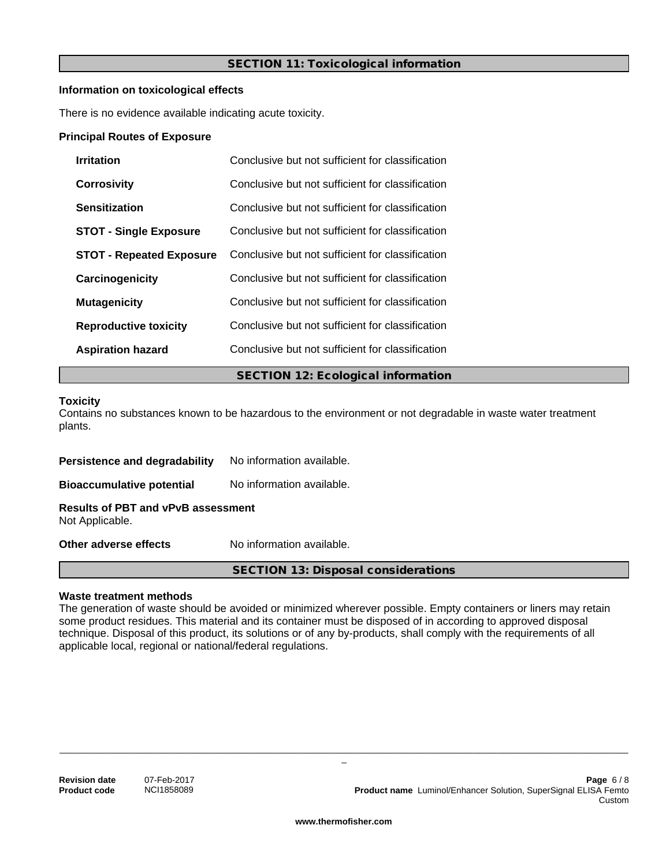## **SECTION 11: Toxicological information**

#### **Information on toxicological effects**

There is no evidence available indicating acute toxicity.

#### **Principal Routes of Exposure**

| <b>Irritation</b>               | Conclusive but not sufficient for classification |  |
|---------------------------------|--------------------------------------------------|--|
| <b>Corrosivity</b>              | Conclusive but not sufficient for classification |  |
| Sensitization                   | Conclusive but not sufficient for classification |  |
| <b>STOT - Single Exposure</b>   | Conclusive but not sufficient for classification |  |
| <b>STOT - Repeated Exposure</b> | Conclusive but not sufficient for classification |  |
| Carcinogenicity                 | Conclusive but not sufficient for classification |  |
| <b>Mutagenicity</b>             | Conclusive but not sufficient for classification |  |
| <b>Reproductive toxicity</b>    | Conclusive but not sufficient for classification |  |
| <b>Aspiration hazard</b>        | Conclusive but not sufficient for classification |  |
|                                 | <b>SECTION 12: Ecological information</b>        |  |

#### **Toxicity**

Contains no substances known to be hazardous to the environment or not degradable in waste water treatment plants.

| Persistence and degradability                                | No information available. |  |
|--------------------------------------------------------------|---------------------------|--|
| <b>Bioaccumulative potential</b>                             | No information available. |  |
| <b>Results of PBT and vPvB assessment</b><br>Not Applicable. |                           |  |
| Other adverse effects                                        | No information available. |  |

#### **Waste treatment methods**

The generation of waste should be avoided or minimized wherever possible. Empty containers or liners may retain some product residues. This material and its container must be disposed of in according to approved disposal technique. Disposal of this product, its solutions or of any by-products, shall comply with the requirements of all applicable local, regional or national/federal regulations.

**SECTION 13: Disposal considerations**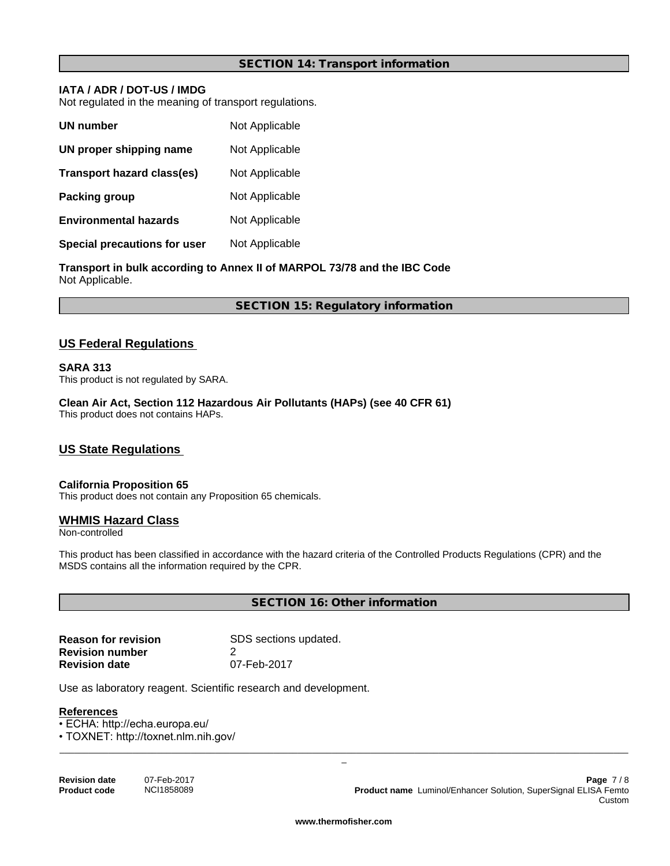#### **SECTION 14: Transport information**

## **IATA / ADR / DOT-US / IMDG**

Not regulated in the meaning of transport regulations.

| UN number                    | Not Applicable |
|------------------------------|----------------|
| UN proper shipping name      | Not Applicable |
| Transport hazard class(es)   | Not Applicable |
| Packing group                | Not Applicable |
| <b>Environmental hazards</b> | Not Applicable |
| Special precautions for user | Not Applicable |

**Transport in bulk according to Annex II of MARPOL 73/78 and the IBC Code** Not Applicable.

**SECTION 15: Regulatory information**

## **US Federal Regulations**

#### **SARA 313**

This product is not regulated by SARA.

**Clean Air Act,Section 112 Hazardous Air Pollutants (HAPs) (see 40 CFR 61)** This product does not contains HAPs.

## **US State Regulations**

## **California Proposition 65**

This product does not contain any Proposition 65 chemicals.

#### **WHMIS Hazard Class**

Non-controlled

This product has been classified in accordance with the hazard criteria of the Controlled Products Regulations (CPR) and the MSDS contains all the information required by the CPR.

**SECTION 16: Other information**

| <b>Reason for revision</b> | SDS sections updated. |
|----------------------------|-----------------------|
| <b>Revision number</b>     |                       |
| <b>Revision date</b>       | 07-Feb-2017           |

Use as laboratory reagent. Scientific research and development.

#### **References**

• ECHA: http://echa.europa.eu/

• TOXNET: http://toxnet.nlm.nih.gov/

| <b>Revision date</b> | 07-Feb-2017 |
|----------------------|-------------|
| <b>Product code</b>  | NCI1858089  |

**Revision date** 07-Feb-2017 **Page** 7 / 8 **Product name** Luminol/Enhancer Solution, SuperSignal ELISA Femto Custom